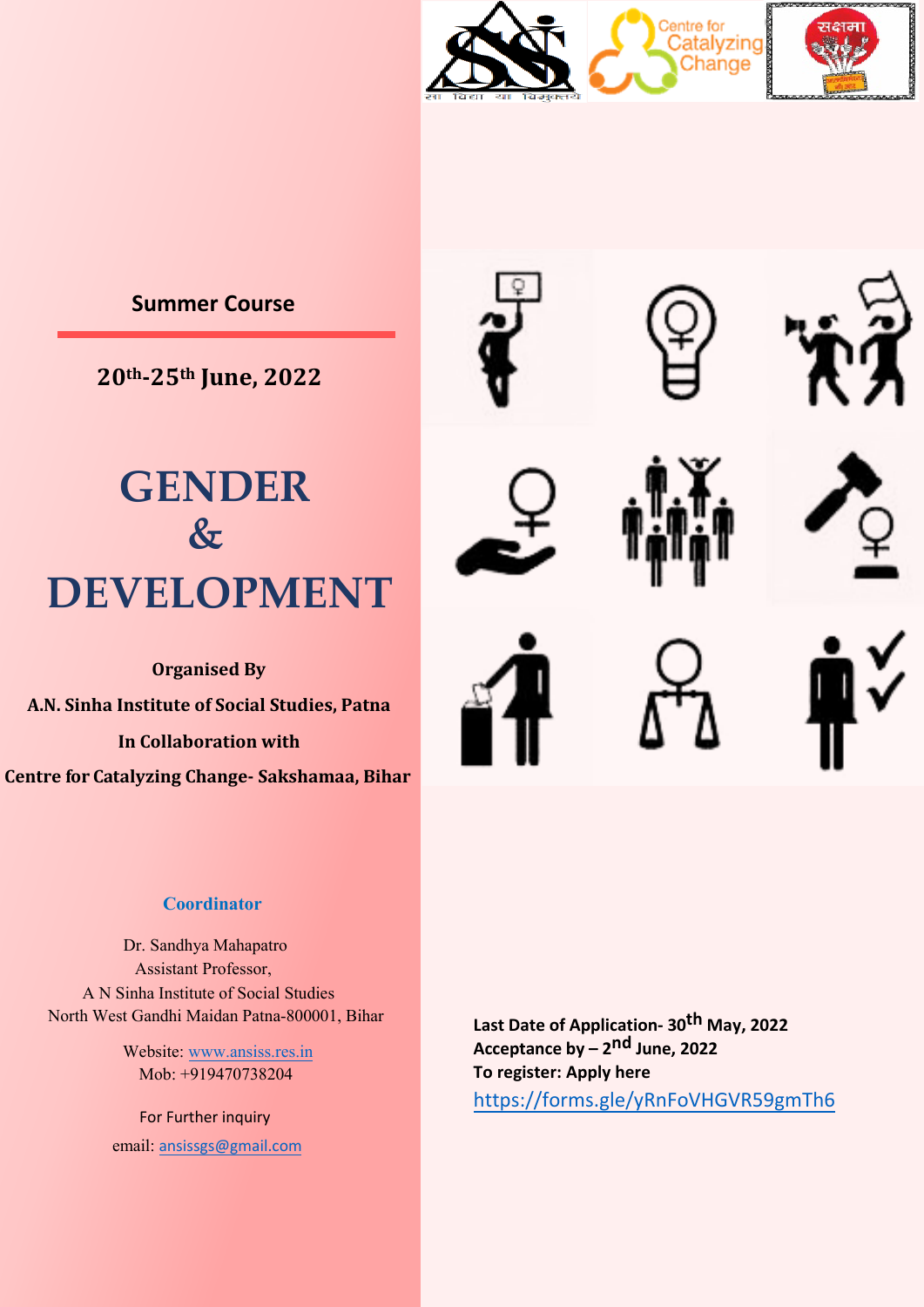

## **Summer Course**

**20th-25th June, 2022**

# **GENDER**  $\&$ **DEVELOPMENT**

**Organised By A.N. Sinha Institute of Social Studies, Patna In Collaboration with Centre fo r C atalyzing Change- Sakshamaa, Bihar**

### **Coordinator**

 Dr. Sandhya Mahapatro Assistant Professor, A N Sinha Institute of Social Studies North West Gandhi Maidan Patna-800001, Bihar

> Website: www.ansiss.res.in Mob: +919470738204

For Further inquiry email: an[sissgs@gmail.com](http://www.ansiss.res.in/)

**Last Date of Application- 30 th May, 2022 Acceptance by – 2nd [June, 2022](https://forms.gle/yRnFoVHGVR59gmTh6) To register: Apply here**  https://forms.gle/yRnFoVHGVR59gmTh6